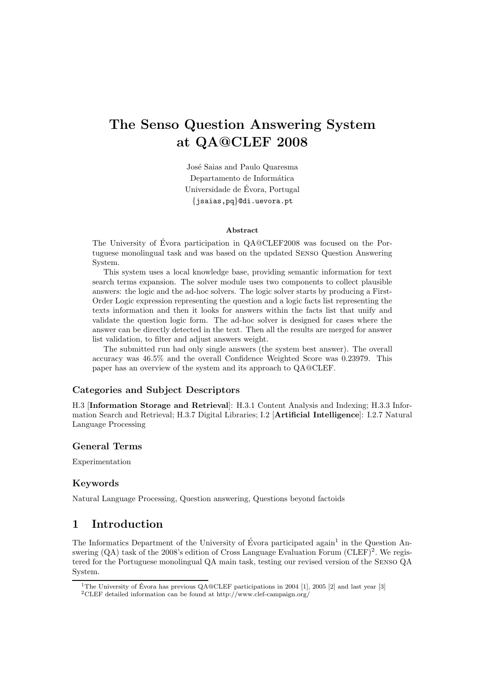# The Senso Question Answering System at QA@CLEF 2008

José Saias and Paulo Quaresma Departamento de Informática Universidade de Evora, Portugal ´ {jsaias,pq}@di.uevora.pt

#### Abstract

The University of Évora participation in QA@CLEF2008 was focused on the Portuguese monolingual task and was based on the updated Senso Question Answering System.

This system uses a local knowledge base, providing semantic information for text search terms expansion. The solver module uses two components to collect plausible answers: the logic and the ad-hoc solvers. The logic solver starts by producing a First-Order Logic expression representing the question and a logic facts list representing the texts information and then it looks for answers within the facts list that unify and validate the question logic form. The ad-hoc solver is designed for cases where the answer can be directly detected in the text. Then all the results are merged for answer list validation, to filter and adjust answers weight.

The submitted run had only single answers (the system best answer). The overall accuracy was 46.5% and the overall Confidence Weighted Score was 0.23979. This paper has an overview of the system and its approach to QA@CLEF.

### Categories and Subject Descriptors

H.3 [Information Storage and Retrieval]: H.3.1 Content Analysis and Indexing; H.3.3 Information Search and Retrieval; H.3.7 Digital Libraries; I.2 [Artificial Intelligence]: I.2.7 Natural Language Processing

### General Terms

Experimentation

### Keywords

Natural Language Processing, Question answering, Questions beyond factoids

## 1 Introduction

The Informatics Department of the University of Évora participated again<sup>1</sup> in the Question Answering  $(QA)$  task of the 2008's edition of Cross Language Evaluation Forum  $(CLEF)^2$ . We registered for the Portuguese monolingual QA main task, testing our revised version of the Senso QA System.

<sup>&</sup>lt;sup>1</sup>The University of Évora has previous  $OA@CDEF$  participations in 2004 [1], 2005 [2] and last year [3] <sup>2</sup>CLEF detailed information can be found at http://www.clef-campaign.org/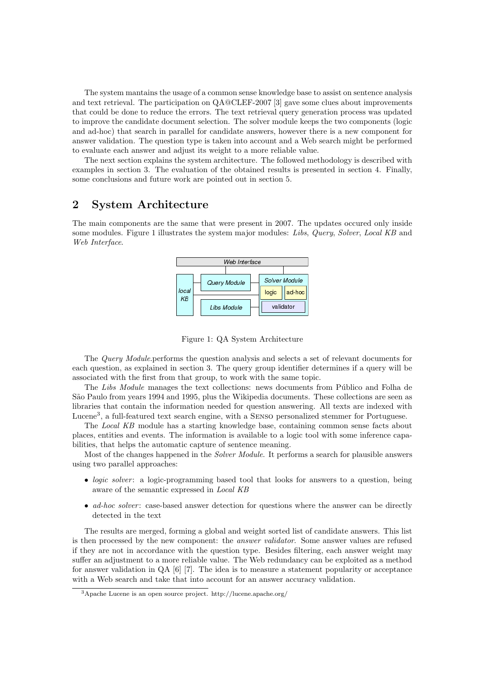The system mantains the usage of a common sense knowledge base to assist on sentence analysis and text retrieval. The participation on QA@CLEF-2007 [3] gave some clues about improvements that could be done to reduce the errors. The text retrieval query generation process was updated to improve the candidate document selection. The solver module keeps the two components (logic and ad-hoc) that search in parallel for candidate answers, however there is a new component for answer validation. The question type is taken into account and a Web search might be performed to evaluate each answer and adjust its weight to a more reliable value.

The next section explains the system architecture. The followed methodology is described with examples in section 3. The evaluation of the obtained results is presented in section 4. Finally, some conclusions and future work are pointed out in section 5.

# 2 System Architecture

The main components are the same that were present in 2007. The updates occured only inside some modules. Figure 1 illustrates the system major modules: Libs, Query, Solver, Local KB and Web Interface.



Figure 1: QA System Architecture

The Query Module.performs the question analysis and selects a set of relevant documents for each question, as explained in section 3. The query group identifier determines if a query will be associated with the first from that group, to work with the same topic.

The Libs Module manages the text collections: news documents from Público and Folha de São Paulo from years 1994 and 1995, plus the Wikipedia documents. These collections are seen as libraries that contain the information needed for question answering. All texts are indexed with Lucene<sup>3</sup>, a full-featured text search engine, with a SENSO personalized stemmer for Portuguese.

The Local KB module has a starting knowledge base, containing common sense facts about places, entities and events. The information is available to a logic tool with some inference capabilities, that helps the automatic capture of sentence meaning.

Most of the changes happened in the *Solver Module*. It performs a search for plausible answers using two parallel approaches:

- *logic solver*: a logic-programming based tool that looks for answers to a question, being aware of the semantic expressed in Local KB
- ad-hoc solver: case-based answer detection for questions where the answer can be directly detected in the text

The results are merged, forming a global and weight sorted list of candidate answers. This list is then processed by the new component: the answer validator. Some answer values are refused if they are not in accordance with the question type. Besides filtering, each answer weight may suffer an adjustment to a more reliable value. The Web redundancy can be exploited as a method for answer validation in QA [6] [7]. The idea is to measure a statement popularity or acceptance with a Web search and take that into account for an answer accuracy validation.

<sup>3</sup>Apache Lucene is an open source project. http://lucene.apache.org/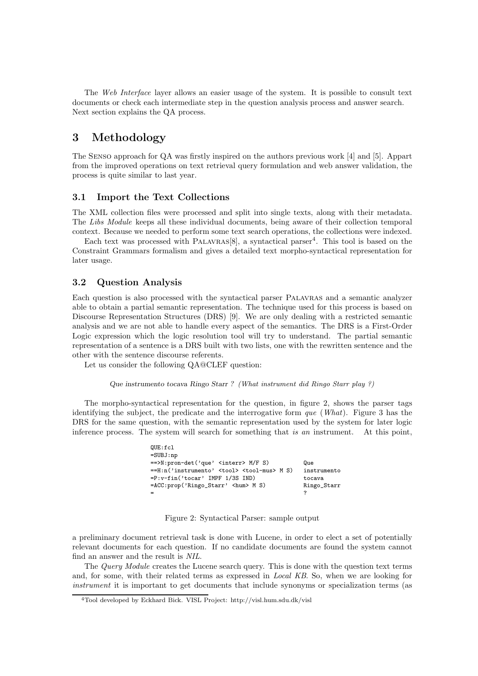The Web Interface layer allows an easier usage of the system. It is possible to consult text documents or check each intermediate step in the question analysis process and answer search. Next section explains the QA process.

# 3 Methodology

The Senso approach for QA was firstly inspired on the authors previous work [4] and [5]. Appart from the improved operations on text retrieval query formulation and web answer validation, the process is quite similar to last year.

#### 3.1 Import the Text Collections

The XML collection files were processed and split into single texts, along with their metadata. The Libs Module keeps all these individual documents, being aware of their collection temporal context. Because we needed to perform some text search operations, the collections were indexed.

Each text was processed with PALAVRAS<sup>[8]</sup>, a syntactical parser<sup>4</sup>. This tool is based on the Constraint Grammars formalism and gives a detailed text morpho-syntactical representation for later usage.

#### 3.2 Question Analysis

Each question is also processed with the syntactical parser Palavras and a semantic analyzer able to obtain a partial semantic representation. The technique used for this process is based on Discourse Representation Structures (DRS) [9]. We are only dealing with a restricted semantic analysis and we are not able to handle every aspect of the semantics. The DRS is a First-Order Logic expression which the logic resolution tool will try to understand. The partial semantic representation of a sentence is a DRS built with two lists, one with the rewritten sentence and the other with the sentence discourse referents.

Let us consider the following QA@CLEF question:

QUE:fcl

Que instrumento tocava Ringo Starr ? (What instrument did Ringo Starr play ?)

The morpho-syntactical representation for the question, in figure 2, shows the parser tags identifying the subject, the predicate and the interrogative form  $que$  (What). Figure 3 has the DRS for the same question, with the semantic representation used by the system for later logic inference process. The system will search for something that is an instrument. At this point,

| UUE:ICI                                                      |             |  |
|--------------------------------------------------------------|-------------|--|
| $= SUBJ: np$                                                 |             |  |
| ==>N:pron-det('que' <interr> M/F S)</interr>                 | Que         |  |
| ==H:n('instrumento' <tool> <tool-mus> M S)</tool-mus></tool> | instrumento |  |
| $= P : v-fin('tocar' IMPF 1/3S IND)$                         | tocava      |  |
| $=$ ACC:prop('Ringo_Starr' <hum> M S)</hum>                  | Ringo_Starr |  |
|                                                              | 7           |  |

|  | Figure 2: Syntactical Parser: sample output |  |  |  |
|--|---------------------------------------------|--|--|--|
|--|---------------------------------------------|--|--|--|

a preliminary document retrieval task is done with Lucene, in order to elect a set of potentially relevant documents for each question. If no candidate documents are found the system cannot find an answer and the result is NIL.

The Query Module creates the Lucene search query. This is done with the question text terms and, for some, with their related terms as expressed in Local KB. So, when we are looking for instrument it is important to get documents that include synonyms or specialization terms (as

<sup>4</sup>Tool developed by Eckhard Bick. VISL Project: http://visl.hum.sdu.dk/visl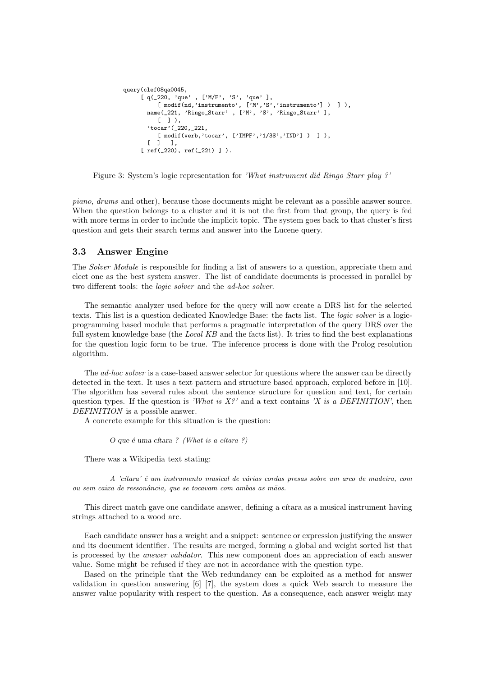```
query(clef08qa0045,
[ q(_220, 'que' , ['M/F', 'S', 'que' ],
      [\texttt{ modifier}(\texttt{nd}, \texttt{'instrumento'}, \texttt{['M'}, \texttt{'S'}, \texttt{'instrumento'}] )\texttt{ ] },name(_221, 'Ringo_Starr' , ['M', 'S', 'Ringo_Starr' ],
      [1].
   'tocar'(_220,_221,
      [ modif(verb,'tocar', ['IMPF','1/3S','IND'] ) ] ),
   [ 1  ] 1,[ ref(_220), ref(_221) ] ).
```
Figure 3: System's logic representation for 'What instrument did Ringo Starr play ?'

piano, drums and other), because those documents might be relevant as a possible answer source. When the question belongs to a cluster and it is not the first from that group, the query is fed with more terms in order to include the implicit topic. The system goes back to that cluster's first question and gets their search terms and answer into the Lucene query.

#### 3.3 Answer Engine

The Solver Module is responsible for finding a list of answers to a question, appreciate them and elect one as the best system answer. The list of candidate documents is processed in parallel by two different tools: the logic solver and the ad-hoc solver.

The semantic analyzer used before for the query will now create a DRS list for the selected texts. This list is a question dedicated Knowledge Base: the facts list. The logic solver is a logicprogramming based module that performs a pragmatic interpretation of the query DRS over the full system knowledge base (the *Local KB* and the facts list). It tries to find the best explanations for the question logic form to be true. The inference process is done with the Prolog resolution algorithm.

The *ad-hoc solver* is a case-based answer selector for questions where the answer can be directly detected in the text. It uses a text pattern and structure based approach, explored before in [10]. The algorithm has several rules about the sentence structure for question and text, for certain question types. If the question is 'What is  $X_i^{\rho}$ ' and a text contains 'X is a DEFINITION', then DEFINITION is a possible answer.

A concrete example for this situation is the question:

 $O$  que é uma cítara ? (What is a cítara ?)

There was a Wikipedia text stating:

A 'cítara' é um instrumento musical de várias cordas presas sobre um arco de madeira, com ou sem caixa de ressonância, que se tocavam com ambas as mãos.

This direct match gave one candidate answer, defining a citara as a musical instrument having strings attached to a wood arc.

Each candidate answer has a weight and a snippet: sentence or expression justifying the answer and its document identifier. The results are merged, forming a global and weight sorted list that is processed by the answer validator. This new component does an appreciation of each answer value. Some might be refused if they are not in accordance with the question type.

Based on the principle that the Web redundancy can be exploited as a method for answer validation in question answering [6] [7], the system does a quick Web search to measure the answer value popularity with respect to the question. As a consequence, each answer weight may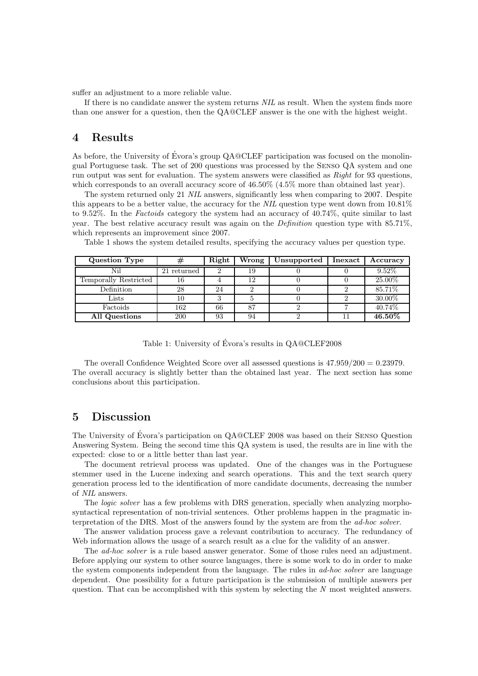suffer an adjustment to a more reliable value.

If there is no candidate answer the system returns NIL as result. When the system finds more than one answer for a question, then the QA@CLEF answer is the one with the highest weight.

### 4 Results

As before, the University of Évora's group  $QA@CLEF$  participation was focused on the monolingual Portuguese task. The set of 200 questions was processed by the Senso QA system and one run output was sent for evaluation. The system answers were classified as Right for 93 questions, which corresponds to an overall accuracy score of  $46.50\%$  (4.5% more than obtained last year).

The system returned only 21 NIL answers, significantly less when comparing to 2007. Despite this appears to be a better value, the accuracy for the NIL question type went down from 10.81% to 9.52%. In the Factoids category the system had an accuracy of 40.74%, quite similar to last year. The best relative accuracy result was again on the Definition question type with 85.71%, which represents an improvement since 2007.<br>Table 1 shows the system detailed results.

| Table 1 shows the system detailed results, specifying the accuracy values per question type. |  |
|----------------------------------------------------------------------------------------------|--|
|----------------------------------------------------------------------------------------------|--|

| Question Type         | #           | Right | Wrong | Unsupported | Inexact | Accuracy |
|-----------------------|-------------|-------|-------|-------------|---------|----------|
| Nil                   | 21 returned | 2     | 19    |             |         | $9.52\%$ |
| Temporally Restricted | 16          |       | 12    |             |         | 25.00%   |
| Definition            | 28          | 24    |       |             |         | 85.71%   |
| Lists                 | 10          |       |       |             |         | 30.00%   |
| Factoids              | 162         | 66    | 87    |             |         | 40.74%   |
| All Questions         | 200         | 93    | 94    |             |         | 46.50%   |

Table 1: University of Évora's results in QA@CLEF2008

The overall Confidence Weighted Score over all assessed questions is  $47.959/200 = 0.23979$ . The overall accuracy is slightly better than the obtained last year. The next section has some conclusions about this participation.

### 5 Discussion

The University of Évora's participation on QA@CLEF 2008 was based on their SENSO Question Answering System. Being the second time this QA system is used, the results are in line with the expected: close to or a little better than last year.

The document retrieval process was updated. One of the changes was in the Portuguese stemmer used in the Lucene indexing and search operations. This and the text search query generation process led to the identification of more candidate documents, decreasing the number of NIL answers.

The logic solver has a few problems with DRS generation, specially when analyzing morphosyntactical representation of non-trivial sentences. Other problems happen in the pragmatic interpretation of the DRS. Most of the answers found by the system are from the ad-hoc solver.

The answer validation process gave a relevant contribution to accuracy. The redundancy of Web information allows the usage of a search result as a clue for the validity of an answer.

The ad-hoc solver is a rule based answer generator. Some of those rules need an adjustment. Before applying our system to other source languages, there is some work to do in order to make the system components independent from the language. The rules in *ad-hoc solver* are language dependent. One possibility for a future participation is the submission of multiple answers per question. That can be accomplished with this system by selecting the  $N$  most weighted answers.